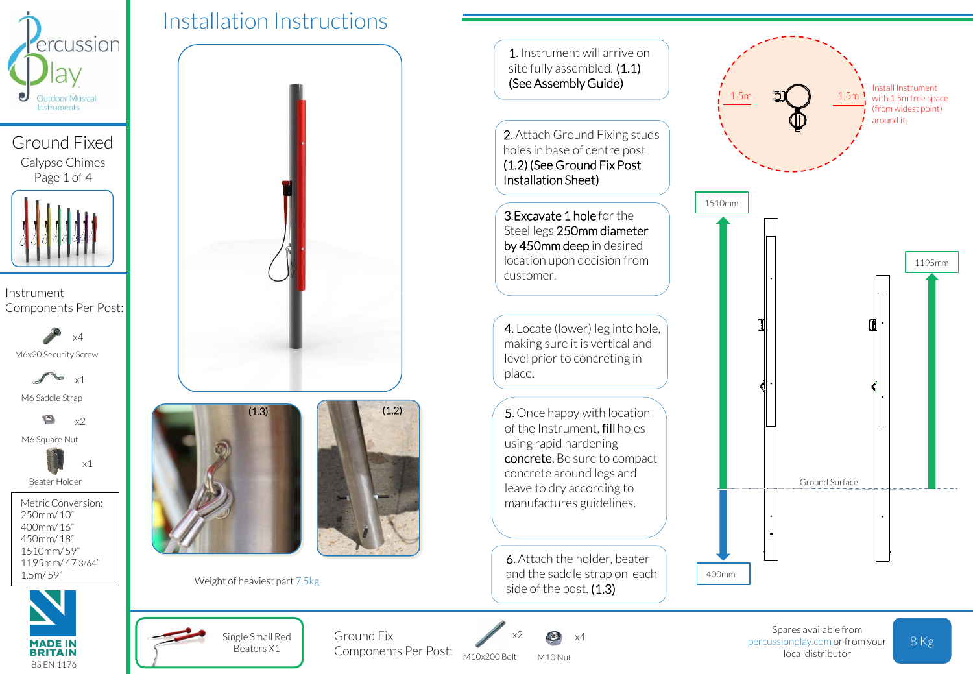

Ground Fixed Calypso Chimes Page 1 of 4

Instrument Components Per Post:

M6x20 Security Screw x4

x1

M6 Saddle Strap

O  $x<sub>2</sub>$ M6 Square Nut

x1

Beater Holder

Metric Conversion: 250mm/ 10" 400mm/ 16" 450mm/ 18" 1510mm/ 59" 1195mm/ 47 3/64" 1.5m/ 59"



Installation Instructions  $(1.3)$ Weight of heaviest part 7.5kg

> Single Small Red Beaters X1

 $\Box$ 

 $(1.2)$ 



Components Per Post: M10x200 Bolt x2 Ground Fix  $x^2 \in \mathbb{R}$   $x^4$ 

M10 Nut

8 Kg Spares available from percussionplay.com or from your local distributor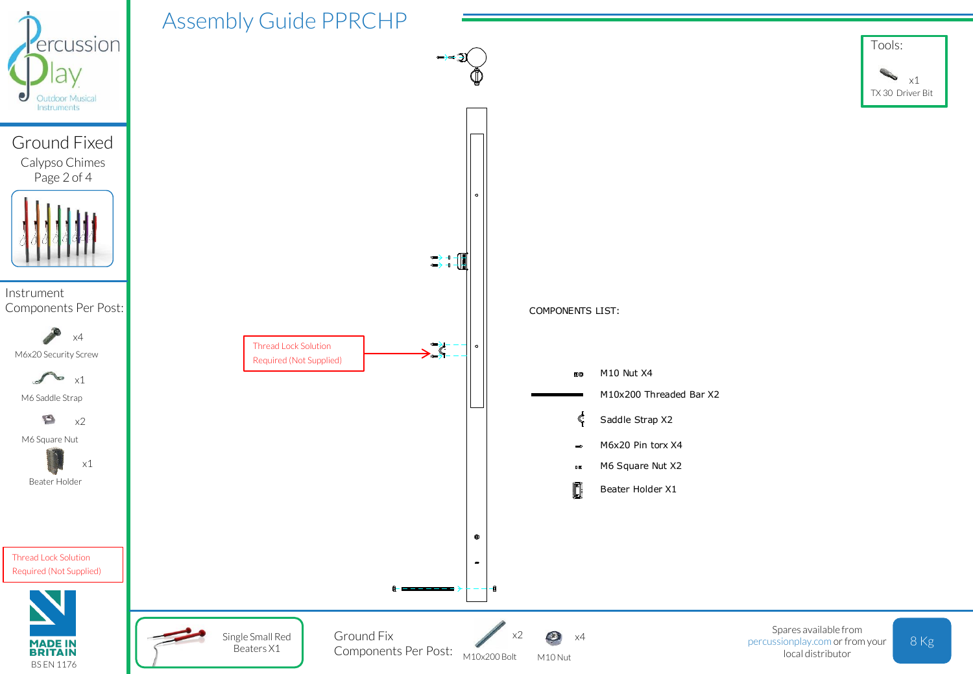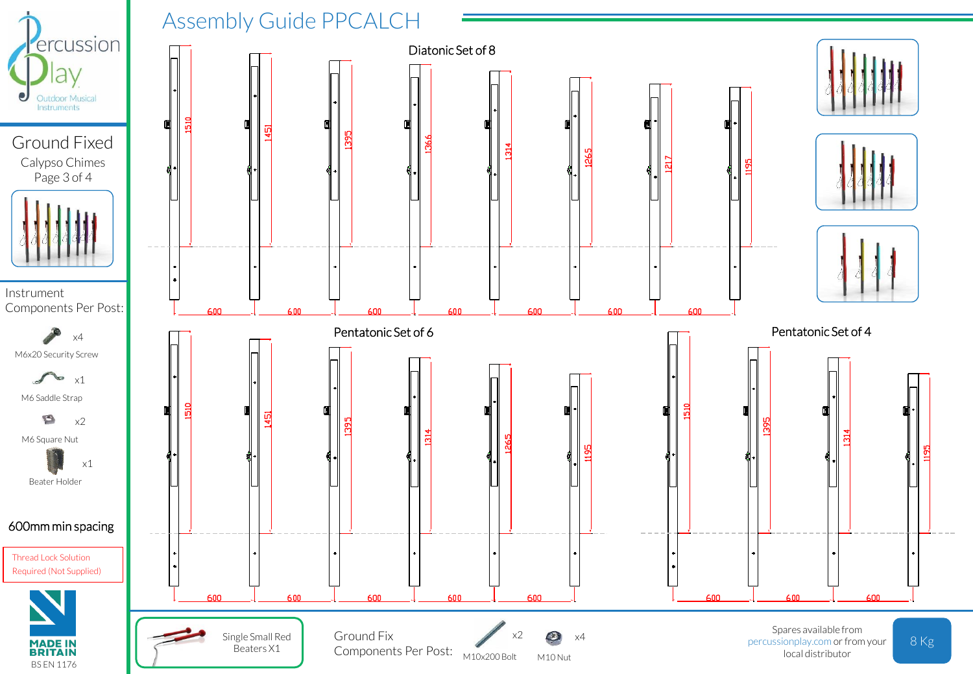